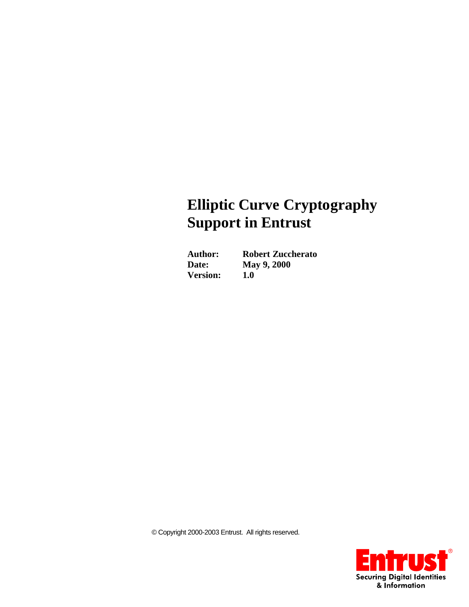## **Elliptic Curve Cryptography Support in Entrust**

| Author:         | <b>Robert Zuccherato</b> |
|-----------------|--------------------------|
| Date:           | <b>May 9, 2000</b>       |
| <b>Version:</b> | 1.0                      |

© Copyright 2000-2003 Entrust. All rights reserved.

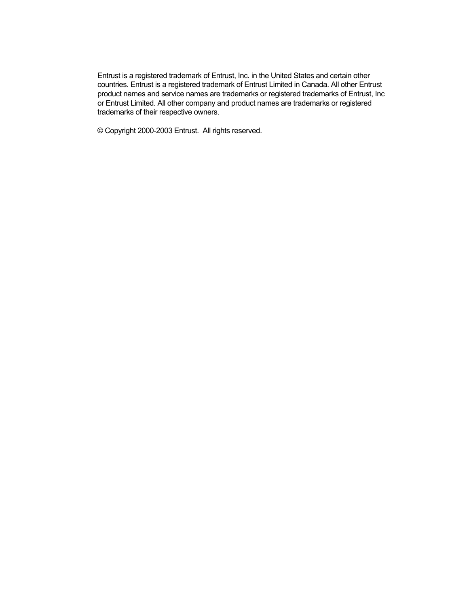Entrust is a registered trademark of Entrust, Inc. in the United States and certain other countries. Entrust is a registered trademark of Entrust Limited in Canada. All other Entrust product names and service names are trademarks or registered trademarks of Entrust, Inc or Entrust Limited. All other company and product names are trademarks or registered trademarks of their respective owners.

© Copyright 2000-2003 Entrust. All rights reserved.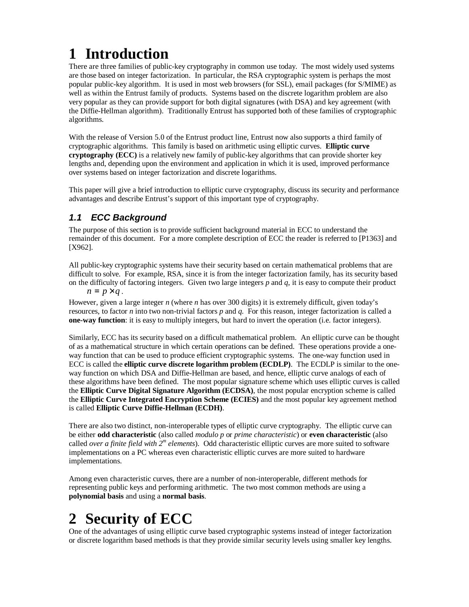# **1 Introduction**

There are three families of public-key cryptography in common use today. The most widely used systems are those based on integer factorization. In particular, the RSA cryptographic system is perhaps the most popular public-key algorithm. It is used in most web browsers (for SSL), email packages (for S/MIME) as well as within the Entrust family of products. Systems based on the discrete logarithm problem are also very popular as they can provide support for both digital signatures (with DSA) and key agreement (with the Diffie-Hellman algorithm). Traditionally Entrust has supported both of these families of cryptographic algorithms.

With the release of Version 5.0 of the Entrust product line, Entrust now also supports a third family of cryptographic algorithms. This family is based on arithmetic using elliptic curves. **Elliptic curve cryptography (ECC)** is a relatively new family of public-key algorithms that can provide shorter key lengths and, depending upon the environment and application in which it is used, improved performance over systems based on integer factorization and discrete logarithms.

This paper will give a brief introduction to elliptic curve cryptography, discuss its security and performance advantages and describe Entrust's support of this important type of cryptography.

### *1.1 ECC Background*

The purpose of this section is to provide sufficient background material in ECC to understand the remainder of this document. For a more complete description of ECC the reader is referred to [P1363] and [X962].

All public-key cryptographic systems have their security based on certain mathematical problems that are difficult to solve. For example, RSA, since it is from the integer factorization family, has its security based on the difficulty of factoring integers. Given two large integers *p* and *q*, it is easy to compute their product  $n = p \times q$ .

However, given a large integer *n* (where *n* has over 300 digits) it is extremely difficult, given today's resources, to factor *n* into two non-trivial factors *p* and *q*. For this reason, integer factorization is called a **one-way function**: it is easy to multiply integers, but hard to invert the operation (i.e. factor integers).

Similarly, ECC has its security based on a difficult mathematical problem. An elliptic curve can be thought of as a mathematical structure in which certain operations can be defined. These operations provide a oneway function that can be used to produce efficient cryptographic systems. The one-way function used in ECC is called the **elliptic curve discrete logarithm problem (ECDLP)**. The ECDLP is similar to the oneway function on which DSA and Diffie-Hellman are based, and hence, elliptic curve analogs of each of these algorithms have been defined. The most popular signature scheme which uses elliptic curves is called the **Elliptic Curve Digital Signature Algorithm (ECDSA)**, the most popular encryption scheme is called the **Elliptic Curve Integrated Encryption Scheme (ECIES)** and the most popular key agreement method is called **Elliptic Curve Diffie-Hellman (ECDH)**.

There are also two distinct, non-interoperable types of elliptic curve cryptography. The elliptic curve can be either **odd characteristic** (also called *modulo p* or *prime characteristic*) or **even characteristic** (also called *over a finite field with* 2<sup>*m</sup> elements*). Odd characteristic elliptic curves are more suited to software</sup> implementations on a PC whereas even characteristic elliptic curves are more suited to hardware implementations.

Among even characteristic curves, there are a number of non-interoperable, different methods for representing public keys and performing arithmetic. The two most common methods are using a **polynomial basis** and using a **normal basis**.

# **2 Security of ECC**

One of the advantages of using elliptic curve based cryptographic systems instead of integer factorization or discrete logarithm based methods is that they provide similar security levels using smaller key lengths.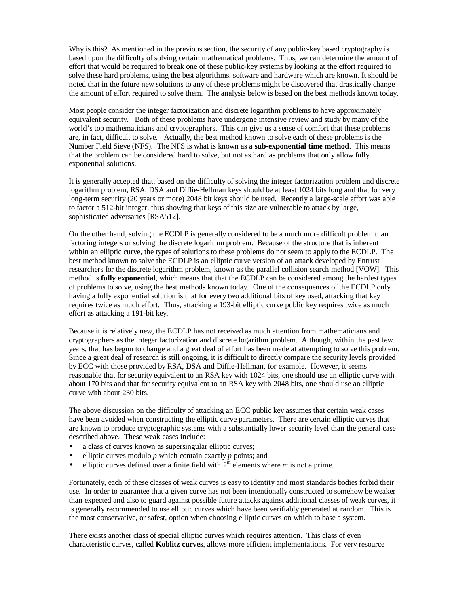Why is this? As mentioned in the previous section, the security of any public-key based cryptography is based upon the difficulty of solving certain mathematical problems. Thus, we can determine the amount of effort that would be required to break one of these public-key systems by looking at the effort required to solve these hard problems, using the best algorithms, software and hardware which are known. It should be noted that in the future new solutions to any of these problems might be discovered that drastically change the amount of effort required to solve them. The analysis below is based on the best methods known today.

Most people consider the integer factorization and discrete logarithm problems to have approximately equivalent security. Both of these problems have undergone intensive review and study by many of the world's top mathematicians and cryptographers. This can give us a sense of comfort that these problems are, in fact, difficult to solve. Actually, the best method known to solve each of these problems is the Number Field Sieve (NFS). The NFS is what is known as a **sub-exponential time method**. This means that the problem can be considered hard to solve, but not as hard as problems that only allow fully exponential solutions.

It is generally accepted that, based on the difficulty of solving the integer factorization problem and discrete logarithm problem, RSA, DSA and Diffie-Hellman keys should be at least 1024 bits long and that for very long-term security (20 years or more) 2048 bit keys should be used. Recently a large-scale effort was able to factor a 512-bit integer, thus showing that keys of this size are vulnerable to attack by large, sophisticated adversaries [RSA512].

On the other hand, solving the ECDLP is generally considered to be a much more difficult problem than factoring integers or solving the discrete logarithm problem. Because of the structure that is inherent within an elliptic curve, the types of solutions to these problems do not seem to apply to the ECDLP. The best method known to solve the ECDLP is an elliptic curve version of an attack developed by Entrust researchers for the discrete logarithm problem, known as the parallel collision search method [VOW]. This method is **fully exponential**, which means that that the ECDLP can be considered among the hardest types of problems to solve, using the best methods known today. One of the consequences of the ECDLP only having a fully exponential solution is that for every two additional bits of key used, attacking that key requires twice as much effort. Thus, attacking a 193-bit elliptic curve public key requires twice as much effort as attacking a 191-bit key.

Because it is relatively new, the ECDLP has not received as much attention from mathematicians and cryptographers as the integer factorization and discrete logarithm problem. Although, within the past few years, that has begun to change and a great deal of effort has been made at attempting to solve this problem. Since a great deal of research is still ongoing, it is difficult to directly compare the security levels provided by ECC with those provided by RSA, DSA and Diffie-Hellman, for example. However, it seems reasonable that for security equivalent to an RSA key with 1024 bits, one should use an elliptic curve with about 170 bits and that for security equivalent to an RSA key with 2048 bits, one should use an elliptic curve with about 230 bits.

The above discussion on the difficulty of attacking an ECC public key assumes that certain weak cases have been avoided when constructing the elliptic curve parameters. There are certain elliptic curves that are known to produce cryptographic systems with a substantially lower security level than the general case described above. These weak cases include:

- a class of curves known as supersingular elliptic curves;
- elliptic curves modulo *p* which contain exactly *p* points; and
- $\bullet$  elliptic curves defined over a finite field with  $2^m$  elements where *m* is not a prime.

Fortunately, each of these classes of weak curves is easy to identity and most standards bodies forbid their use. In order to guarantee that a given curve has not been intentionally constructed to somehow be weaker than expected and also to guard against possible future attacks against additional classes of weak curves, it is generally recommended to use elliptic curves which have been verifiably generated at random. This is the most conservative, or safest, option when choosing elliptic curves on which to base a system.

There exists another class of special elliptic curves which requires attention. This class of even characteristic curves, called **Koblitz curves**, allows more efficient implementations. For very resource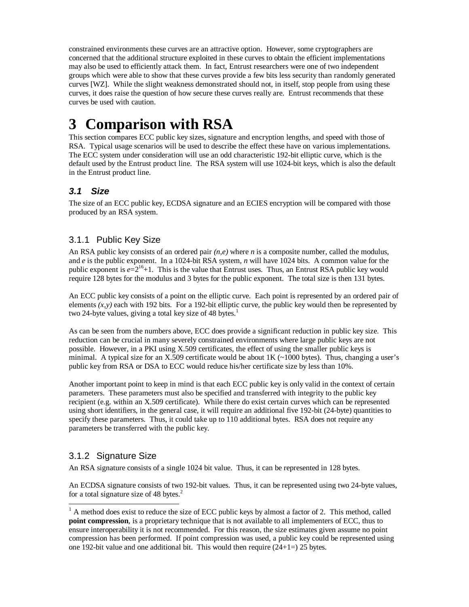constrained environments these curves are an attractive option. However, some cryptographers are concerned that the additional structure exploited in these curves to obtain the efficient implementations may also be used to efficiently attack them. In fact, Entrust researchers were one of two independent groups which were able to show that these curves provide a few bits less security than randomly generated curves [WZ]. While the slight weakness demonstrated should not, in itself, stop people from using these curves, it does raise the question of how secure these curves really are. Entrust recommends that these curves be used with caution.

# **3 Comparison with RSA**

This section compares ECC public key sizes, signature and encryption lengths, and speed with those of RSA. Typical usage scenarios will be used to describe the effect these have on various implementations. The ECC system under consideration will use an odd characteristic 192-bit elliptic curve, which is the default used by the Entrust product line. The RSA system will use 1024-bit keys, which is also the default in the Entrust product line.

### *3.1 Size*

The size of an ECC public key, ECDSA signature and an ECIES encryption will be compared with those produced by an RSA system.

#### 3.1.1 Public Key Size

An RSA public key consists of an ordered pair *(n,e)* where *n* is a composite number, called the modulus, and *e* is the public exponent. In a 1024-bit RSA system, *n* will have 1024 bits. A common value for the public exponent is  $e=2^{16}+1$ . This is the value that Entrust uses. Thus, an Entrust RSA public key would require 128 bytes for the modulus and 3 bytes for the public exponent. The total size is then 131 bytes.

An ECC public key consists of a point on the elliptic curve. Each point is represented by an ordered pair of elements  $(x, y)$  each with 192 bits. For a 192-bit elliptic curve, the public key would then be represented by two 24-byte values, giving a total key size of 48 bytes.<sup>1</sup>

As can be seen from the numbers above, ECC does provide a significant reduction in public key size. This reduction can be crucial in many severely constrained environments where large public keys are not possible. However, in a PKI using X.509 certificates, the effect of using the smaller public keys is minimal. A typical size for an X.509 certificate would be about 1K  $\sim$  1000 bytes). Thus, changing a user's public key from RSA or DSA to ECC would reduce his/her certificate size by less than 10%.

Another important point to keep in mind is that each ECC public key is only valid in the context of certain parameters. These parameters must also be specified and transferred with integrity to the public key recipient (e.g. within an X.509 certificate). While there do exist certain curves which can be represented using short identifiers, in the general case, it will require an additional five 192-bit (24-byte) quantities to specify these parameters. Thus, it could take up to 110 additional bytes. RSA does not require any parameters be transferred with the public key.

#### 3.1.2 Signature Size

An RSA signature consists of a single 1024 bit value. Thus, it can be represented in 128 bytes.

An ECDSA signature consists of two 192-bit values. Thus, it can be represented using two 24-byte values, for a total signature size of 48 bytes. $<sup>2</sup>$ </sup>

<sup>&</sup>lt;sup>1</sup> A method does exist to reduce the size of ECC public keys by almost a factor of 2. This method, called **point compression**, is a proprietary technique that is not available to all implementers of ECC, thus to ensure interoperability it is not recommended. For this reason, the size estimates given assume no point compression has been performed. If point compression was used, a public key could be represented using one 192-bit value and one additional bit. This would then require  $(24+1=)$  25 bytes.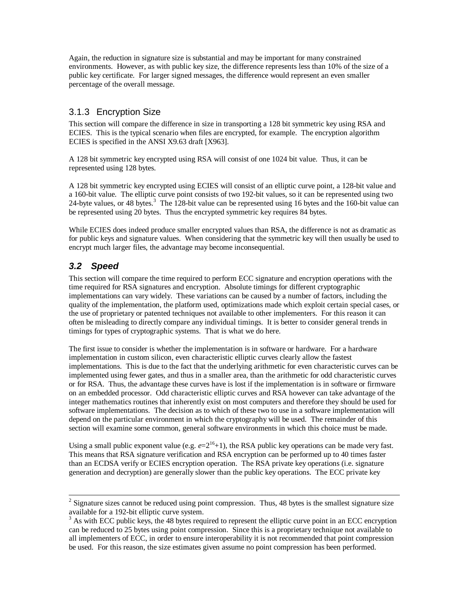Again, the reduction in signature size is substantial and may be important for many constrained environments. However, as with public key size, the difference represents less than 10% of the size of a public key certificate. For larger signed messages, the difference would represent an even smaller percentage of the overall message.

#### 3.1.3 Encryption Size

This section will compare the difference in size in transporting a 128 bit symmetric key using RSA and ECIES. This is the typical scenario when files are encrypted, for example. The encryption algorithm ECIES is specified in the ANSI X9.63 draft [X963].

A 128 bit symmetric key encrypted using RSA will consist of one 1024 bit value. Thus, it can be represented using 128 bytes.

A 128 bit symmetric key encrypted using ECIES will consist of an elliptic curve point, a 128-bit value and a 160-bit value. The elliptic curve point consists of two 192-bit values, so it can be represented using two 24-byte values, or 48 bytes.<sup>3</sup> The 128-bit value can be represented using 16 bytes and the 160-bit value can be represented using 20 bytes. Thus the encrypted symmetric key requires 84 bytes.

While ECIES does indeed produce smaller encrypted values than RSA, the difference is not as dramatic as for public keys and signature values. When considering that the symmetric key will then usually be used to encrypt much larger files, the advantage may become inconsequential.

### *3.2 Speed*

l

This section will compare the time required to perform ECC signature and encryption operations with the time required for RSA signatures and encryption. Absolute timings for different cryptographic implementations can vary widely. These variations can be caused by a number of factors, including the quality of the implementation, the platform used, optimizations made which exploit certain special cases, or the use of proprietary or patented techniques not available to other implementers. For this reason it can often be misleading to directly compare any individual timings. It is better to consider general trends in timings for types of cryptographic systems. That is what we do here.

The first issue to consider is whether the implementation is in software or hardware. For a hardware implementation in custom silicon, even characteristic elliptic curves clearly allow the fastest implementations. This is due to the fact that the underlying arithmetic for even characteristic curves can be implemented using fewer gates, and thus in a smaller area, than the arithmetic for odd characteristic curves or for RSA. Thus, the advantage these curves have is lost if the implementation is in software or firmware on an embedded processor. Odd characteristic elliptic curves and RSA however can take advantage of the integer mathematics routines that inherently exist on most computers and therefore they should be used for software implementations. The decision as to which of these two to use in a software implementation will depend on the particular environment in which the cryptography will be used. The remainder of this section will examine some common, general software environments in which this choice must be made.

Using a small public exponent value (e.g.  $e=2^{16}+1$ ), the RSA public key operations can be made very fast. This means that RSA signature verification and RSA encryption can be performed up to 40 times faster than an ECDSA verify or ECIES encryption operation. The RSA private key operations (i.e. signature generation and decryption) are generally slower than the public key operations. The ECC private key

 $2^{2}$  Signature sizes cannot be reduced using point compression. Thus, 48 bytes is the smallest signature size available for a 192-bit elliptic curve system.

<sup>&</sup>lt;sup>3</sup> As with ECC public keys, the 48 bytes required to represent the elliptic curve point in an ECC encryption can be reduced to 25 bytes using point compression. Since this is a proprietary technique not available to all implementers of ECC, in order to ensure interoperability it is not recommended that point compression be used. For this reason, the size estimates given assume no point compression has been performed.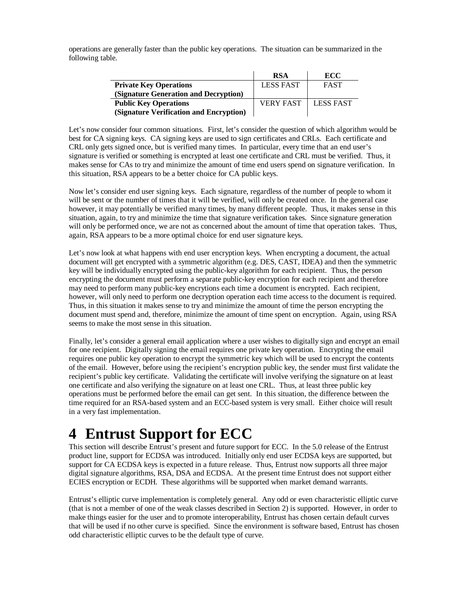operations are generally faster than the public key operations. The situation can be summarized in the following table.

|                                         | RSA              | ECC              |
|-----------------------------------------|------------------|------------------|
| <b>Private Key Operations</b>           | LESS FAST        | <b>FAST</b>      |
| (Signature Generation and Decryption)   |                  |                  |
| <b>Public Key Operations</b>            | <b>VERY FAST</b> | <b>LESS FAST</b> |
| (Signature Verification and Encryption) |                  |                  |

Let's now consider four common situations. First, let's consider the question of which algorithm would be best for CA signing keys. CA signing keys are used to sign certificates and CRLs. Each certificate and CRL only gets signed once, but is verified many times. In particular, every time that an end user's signature is verified or something is encrypted at least one certificate and CRL must be verified. Thus, it makes sense for CAs to try and minimize the amount of time end users spend on signature verification. In this situation, RSA appears to be a better choice for CA public keys.

Now let's consider end user signing keys. Each signature, regardless of the number of people to whom it will be sent or the number of times that it will be verified, will only be created once. In the general case however, it may potentially be verified many times, by many different people. Thus, it makes sense in this situation, again, to try and minimize the time that signature verification takes. Since signature generation will only be performed once, we are not as concerned about the amount of time that operation takes. Thus, again, RSA appears to be a more optimal choice for end user signature keys.

Let's now look at what happens with end user encryption keys. When encrypting a document, the actual document will get encrypted with a symmetric algorithm (e.g. DES, CAST, IDEA) and then the symmetric key will be individually encrypted using the public-key algorithm for each recipient. Thus, the person encrypting the document must perform a separate public-key encryption for each recipient and therefore may need to perform many public-key encrytions each time a document is encrypted. Each recipient, however, will only need to perform one decryption operation each time access to the document is required. Thus, in this situation it makes sense to try and minimize the amount of time the person encrypting the document must spend and, therefore, minimize the amount of time spent on encryption. Again, using RSA seems to make the most sense in this situation.

Finally, let's consider a general email application where a user wishes to digitally sign and encrypt an email for one recipient. Digitally signing the email requires one private key operation. Encrypting the email requires one public key operation to encrypt the symmetric key which will be used to encrypt the contents of the email. However, before using the recipient's encryption public key, the sender must first validate the recipient's public key certificate. Validating the certificate will involve verifying the signature on at least one certificate and also verifying the signature on at least one CRL. Thus, at least three public key operations must be performed before the email can get sent. In this situation, the difference between the time required for an RSA-based system and an ECC-based system is very small. Either choice will result in a very fast implementation.

## **4 Entrust Support for ECC**

This section will describe Entrust's present and future support for ECC. In the 5.0 release of the Entrust product line, support for ECDSA was introduced. Initially only end user ECDSA keys are supported, but support for CA ECDSA keys is expected in a future release. Thus, Entrust now supports all three major digital signature algorithms, RSA, DSA and ECDSA. At the present time Entrust does not support either ECIES encryption or ECDH. These algorithms will be supported when market demand warrants.

Entrust's elliptic curve implementation is completely general. Any odd or even characteristic elliptic curve (that is not a member of one of the weak classes described in Section 2) is supported. However, in order to make things easier for the user and to promote interoperability, Entrust has chosen certain default curves that will be used if no other curve is specified. Since the environment is software based, Entrust has chosen odd characteristic elliptic curves to be the default type of curve.